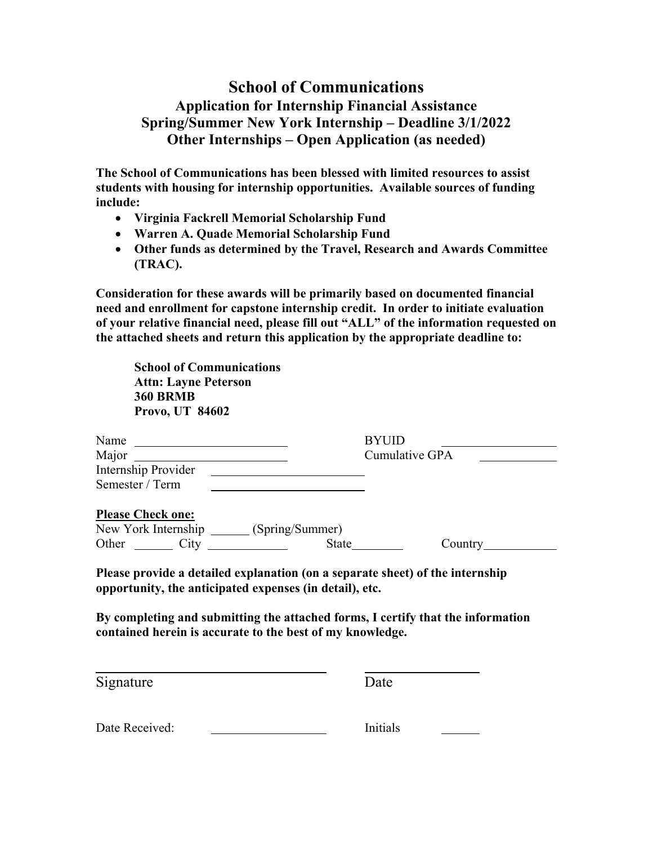# **School of Communications Application for Internship Financial Assistance Spring/Summer New York Internship – Deadline 3/1/2022 Other Internships – Open Application (as needed)**

**The School of Communications has been blessed with limited resources to assist students with housing for internship opportunities. Available sources of funding include:** 

- **Virginia Fackrell Memorial Scholarship Fund**
- **Warren A. Quade Memorial Scholarship Fund**
- **Other funds as determined by the Travel, Research and Awards Committee (TRAC).**

**Consideration for these awards will be primarily based on documented financial need and enrollment for capstone internship credit. In order to initiate evaluation of your relative financial need, please fill out "ALL" of the information requested on the attached sheets and return this application by the appropriate deadline to:** 

| <b>School of Communications</b><br><b>Attn: Layne Peterson</b><br><b>360 BRMB</b><br><b>Provo, UT 84602</b> |                                                           |                                                                               |
|-------------------------------------------------------------------------------------------------------------|-----------------------------------------------------------|-------------------------------------------------------------------------------|
| Name $\frac{1}{\sqrt{1-\frac{1}{2}} \cdot \frac{1}{2}}$                                                     |                                                           | <b>BYUID</b>                                                                  |
| Major                                                                                                       |                                                           | Cumulative GPA                                                                |
| Internship Provider                                                                                         | <u> 1989 - Johann Barnett, fransk politiker (d. 1989)</u> |                                                                               |
| Semester / Term                                                                                             |                                                           |                                                                               |
| <b>Please Check one:</b>                                                                                    |                                                           |                                                                               |
| New York Internship _______ (Spring/Summer)                                                                 |                                                           |                                                                               |
| Other City                                                                                                  |                                                           | Country                                                                       |
|                                                                                                             | opportunity, the anticipated expenses (in detail), etc.   | Please provide a detailed explanation (on a separate sheet) of the internship |

**By completing and submitting the attached forms, I certify that the information contained herein is accurate to the best of my knowledge.** 

Signature Date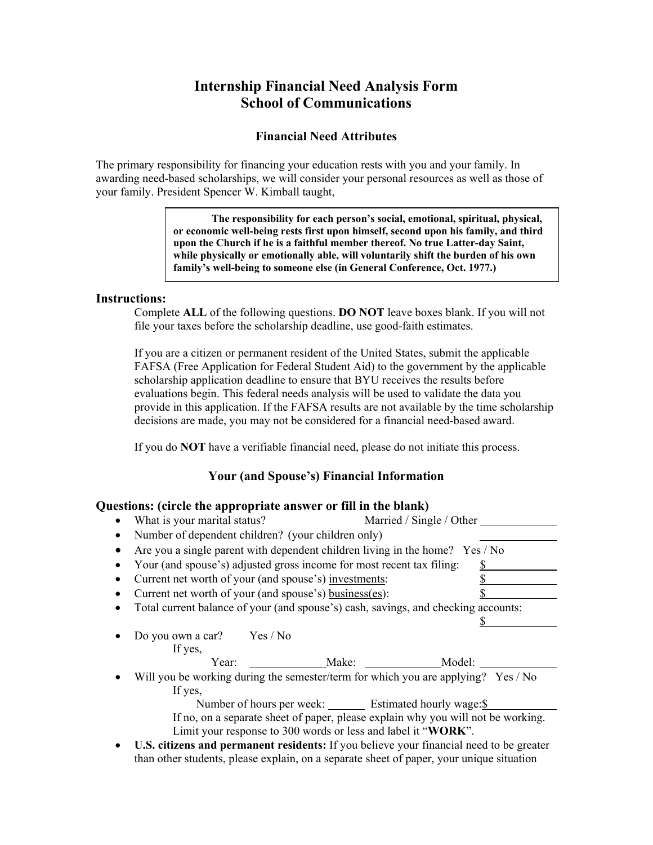## **Internship Financial Need Analysis Form School of Communications**

## **Financial Need Attributes**

The primary responsibility for financing your education rests with you and your family. In awarding need-based scholarships, we will consider your personal resources as well as those of your family. President Spencer W. Kimball taught,

> **The responsibility for each person's social, emotional, spiritual, physical, or economic well-being rests first upon himself, second upon his family, and third upon the Church if he is a faithful member thereof. No true Latter-day Saint, while physically or emotionally able, will voluntarily shift the burden of his own family's well-being to someone else (in General Conference, Oct. 1977.)**

#### **Instructions:**

Complete **ALL** of the following questions. **DO NOT** leave boxes blank. If you will not file your taxes before the scholarship deadline, use good-faith estimates.

If you are a citizen or permanent resident of the United States, submit the applicable FAFSA (Free Application for Federal Student Aid) to the government by the applicable scholarship application deadline to ensure that BYU receives the results before evaluations begin. This federal needs analysis will be used to validate the data you provide in this application. If the FAFSA results are not available by the time scholarship decisions are made, you may not be considered for a financial need-based award.

If you do **NOT** have a verifiable financial need, please do not initiate this process.

### **Your (and Spouse's) Financial Information**

### **Questions: (circle the appropriate answer or fill in the blank)**

| сэнонэ. үен его анс аррг оргтагс анэм сг ог нигиг анс отанкд                       |                                                            |        |  |  |  |
|------------------------------------------------------------------------------------|------------------------------------------------------------|--------|--|--|--|
| What is your marital status?<br>Married / Single / Other                           |                                                            |        |  |  |  |
| Number of dependent children? (your children only)                                 |                                                            |        |  |  |  |
| Are you a single parent with dependent children living in the home? Yes / No       |                                                            |        |  |  |  |
| Your (and spouse's) adjusted gross income for most recent tax filing:              |                                                            | S      |  |  |  |
| Current net worth of your (and spouse's) investments:                              |                                                            |        |  |  |  |
| Current net worth of your (and spouse's) business(es):                             |                                                            |        |  |  |  |
| Total current balance of your (and spouse's) cash, savings, and checking accounts: |                                                            |        |  |  |  |
|                                                                                    |                                                            |        |  |  |  |
| Do you own a car? Yes / No                                                         |                                                            |        |  |  |  |
| If yes,                                                                            |                                                            |        |  |  |  |
| Year:                                                                              | Make:                                                      | Model: |  |  |  |
| Will you be working during the semester/term for which you are applying? Yes / No  |                                                            |        |  |  |  |
| If yes,                                                                            |                                                            |        |  |  |  |
|                                                                                    | Number of hours per week: _______ Estimated hourly wage:\$ |        |  |  |  |
| If no, on a separate sheet of paper, please explain why you will not be working.   |                                                            |        |  |  |  |
| Limit your response to 300 words or less and label it "WORK".                      |                                                            |        |  |  |  |

 **U.S. citizens and permanent residents:** If you believe your financial need to be greater than other students, please explain, on a separate sheet of paper, your unique situation